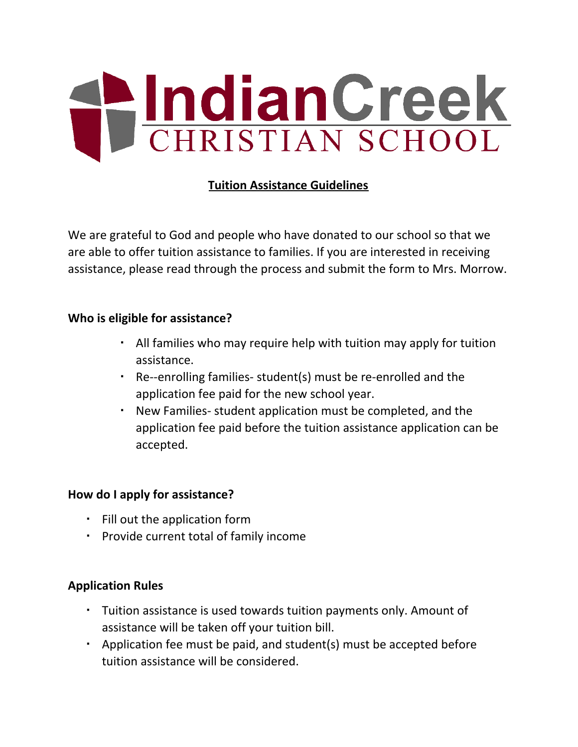

# **Tuition Assistance Guidelines**

We are grateful to God and people who have donated to our school so that we are able to offer tuition assistance to families. If you are interested in receiving assistance, please read through the process and submit the form to Mrs. Morrow.

### **Who is eligible for assistance?**

- All families who may require help with tuition may apply for tuition assistance.
- Re--enrolling families- student(s) must be re-enrolled and the application fee paid for the new school year.
- New Families- student application must be completed, and the application fee paid before the tuition assistance application can be accepted.

# **How do I apply for assistance?**

- Fill out the application form
- Provide current total of family income

## **Application Rules**

- Tuition assistance is used towards tuition payments only. Amount of assistance will be taken off your tuition bill.
- Application fee must be paid, and student(s) must be accepted before tuition assistance will be considered.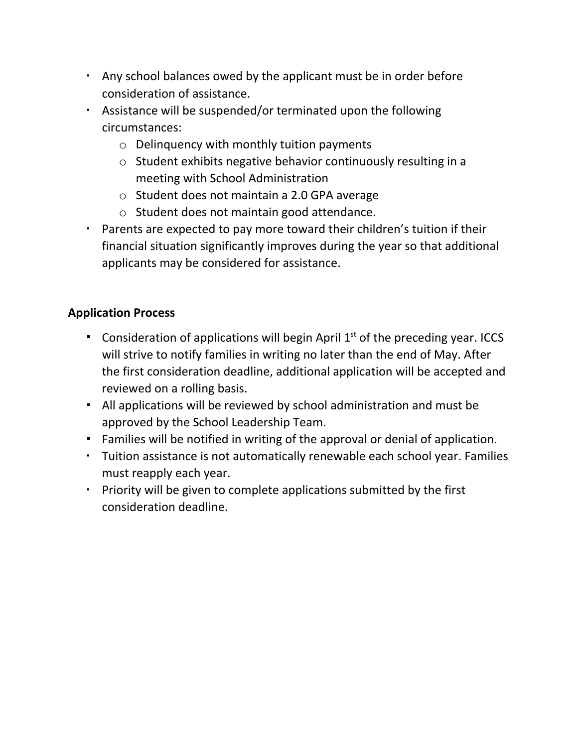- Any school balances owed by the applicant must be in order before consideration of assistance.
- Assistance will be suspended/or terminated upon the following circumstances:
	- o Delinquency with monthly tuition payments
	- o Student exhibits negative behavior continuously resulting in a meeting with School Administration
	- o Student does not maintain a 2.0 GPA average
	- o Student does not maintain good attendance.
- Parents are expected to pay more toward their children's tuition if their financial situation significantly improves during the year so that additional applicants may be considered for assistance.

# **Application Process**

- **•** Consideration of applications will begin April  $1<sup>st</sup>$  of the preceding year. ICCS will strive to notify families in writing no later than the end of May. After the first consideration deadline, additional application will be accepted and reviewed on a rolling basis.
- All applications will be reviewed by school administration and must be approved by the School Leadership Team.
- Families will be notified in writing of the approval or denial of application.
- Tuition assistance is not automatically renewable each school year. Families must reapply each year.
- Priority will be given to complete applications submitted by the first consideration deadline.